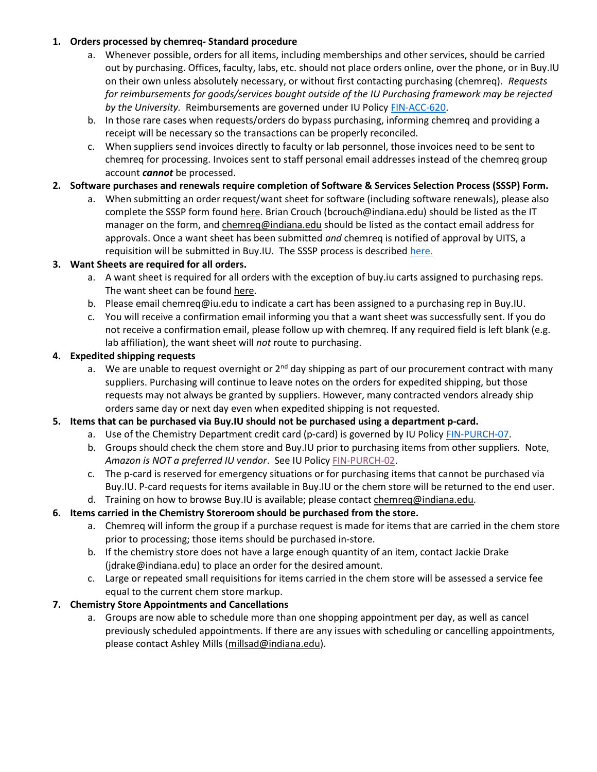### 1. Orders processed by chemreq- Standard procedure

- a. Whenever possible, orders for all items, including memberships and other services, should be carried out by purchasing. Offices, faculty, labs, etc. should not place orders online, over the phone, or in Buy.IU on their own unless absolutely necessary, or without first contacting purchasing (chemreq). Requests for reimbursements for goods/services bought outside of the IU Purchasing framework may be rejected by the University. Reimbursements are governed under IU Policy FIN-ACC-620.
- b. In those rare cases when requests/orders do bypass purchasing, informing chemreq and providing a receipt will be necessary so the transactions can be properly reconciled.
- c. When suppliers send invoices directly to faculty or lab personnel, those invoices need to be sent to chemreq for processing. Invoices sent to staff personal email addresses instead of the chemreq group account *cannot* be processed.

# 2. Software purchases and renewals require completion of Software & Services Selection Process (SSSP) Form.

a. When submitting an order request/want sheet for software (including software renewals), please also complete the SSSP form found here. Brian Crouch (bcrouch@indiana.edu) should be listed as the IT manager on the form, and chemreq@indiana.edu should be listed as the contact email address for approvals. Once a want sheet has been submitted and chemreq is notified of approval by UITS, a requisition will be submitted in Buy.IU. The SSSP process is described here.

## 3. Want Sheets are required for all orders.

- a. A want sheet is required for all orders with the exception of buy.iu carts assigned to purchasing reps. The want sheet can be found here.
- b. Please email chemreq@iu.edu to indicate a cart has been assigned to a purchasing rep in Buy.IU.
- c. You will receive a confirmation email informing you that a want sheet was successfully sent. If you do not receive a confirmation email, please follow up with chemreq. If any required field is left blank (e.g. lab affiliation), the want sheet will not route to purchasing.

## 4. Expedited shipping requests

a. We are unable to request overnight or  $2^{nd}$  day shipping as part of our procurement contract with many suppliers. Purchasing will continue to leave notes on the orders for expedited shipping, but those requests may not always be granted by suppliers. However, many contracted vendors already ship orders same day or next day even when expedited shipping is not requested.

## 5. Items that can be purchased via Buy.IU should not be purchased using a department p-card.

- a. Use of the Chemistry Department credit card (p-card) is governed by IU Policy FIN-PURCH-07.
- b. Groups should check the chem store and Buy.IU prior to purchasing items from other suppliers. Note, Amazon is NOT a preferred IU vendor. See IU Policy FIN-PURCH-02.
- c. The p-card is reserved for emergency situations or for purchasing items that cannot be purchased via Buy.IU. P-card requests for items available in Buy.IU or the chem store will be returned to the end user.

#### d. Training on how to browse Buy.IU is available; please contact chemreq@indiana.edu. 6. Items carried in the Chemistry Storeroom should be purchased from the store.

- a. Chemreq will inform the group if a purchase request is made for items that are carried in the chem store prior to processing; those items should be purchased in-store.
- b. If the chemistry store does not have a large enough quantity of an item, contact Jackie Drake (jdrake@indiana.edu) to place an order for the desired amount.
- c. Large or repeated small requisitions for items carried in the chem store will be assessed a service fee equal to the current chem store markup.

## 7. Chemistry Store Appointments and Cancellations

a. Groups are now able to schedule more than one shopping appointment per day, as well as cancel previously scheduled appointments. If there are any issues with scheduling or cancelling appointments, please contact Ashley Mills (millsad@indiana.edu).